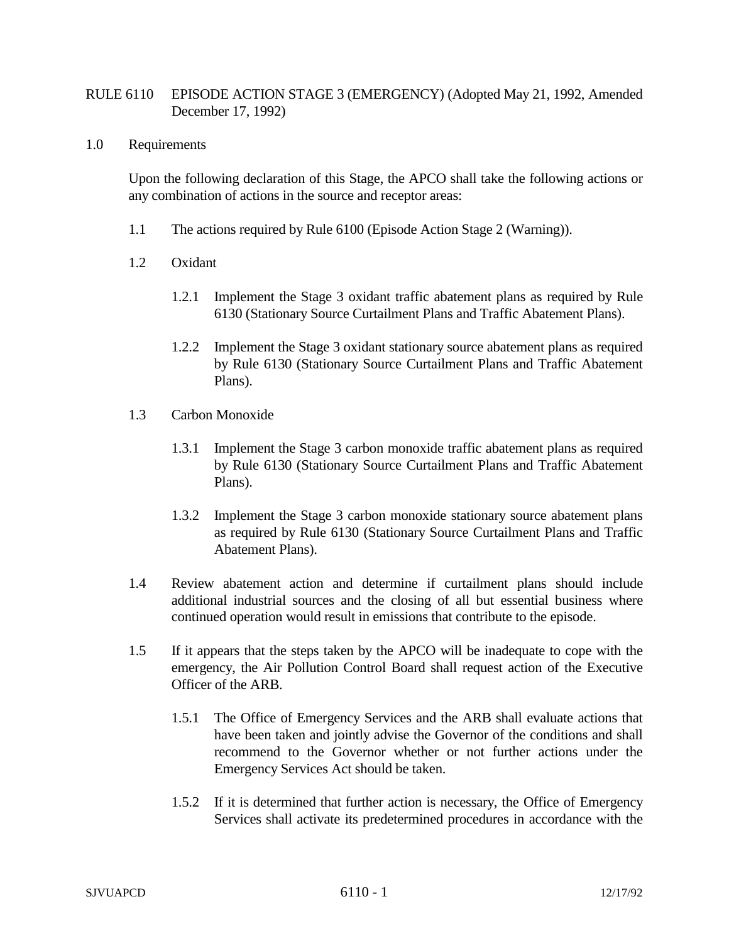## RULE 6110 EPISODE ACTION STAGE 3 (EMERGENCY) (Adopted May 21, 1992, Amended December 17, 1992)

## 1.0 Requirements

Upon the following declaration of this Stage, the APCO shall take the following actions or any combination of actions in the source and receptor areas:

- 1.1 The actions required by Rule 6100 (Episode Action Stage 2 (Warning)).
- 1.2 Oxidant
	- 1.2.1 Implement the Stage 3 oxidant traffic abatement plans as required by Rule 6130 (Stationary Source Curtailment Plans and Traffic Abatement Plans).
	- 1.2.2 Implement the Stage 3 oxidant stationary source abatement plans as required by Rule 6130 (Stationary Source Curtailment Plans and Traffic Abatement Plans).
- 1.3 Carbon Monoxide
	- 1.3.1 Implement the Stage 3 carbon monoxide traffic abatement plans as required by Rule 6130 (Stationary Source Curtailment Plans and Traffic Abatement Plans).
	- 1.3.2 Implement the Stage 3 carbon monoxide stationary source abatement plans as required by Rule 6130 (Stationary Source Curtailment Plans and Traffic Abatement Plans).
- 1.4 Review abatement action and determine if curtailment plans should include additional industrial sources and the closing of all but essential business where continued operation would result in emissions that contribute to the episode.
- 1.5 If it appears that the steps taken by the APCO will be inadequate to cope with the emergency, the Air Pollution Control Board shall request action of the Executive Officer of the ARB.
	- 1.5.1 The Office of Emergency Services and the ARB shall evaluate actions that have been taken and jointly advise the Governor of the conditions and shall recommend to the Governor whether or not further actions under the Emergency Services Act should be taken.
	- 1.5.2 If it is determined that further action is necessary, the Office of Emergency Services shall activate its predetermined procedures in accordance with the